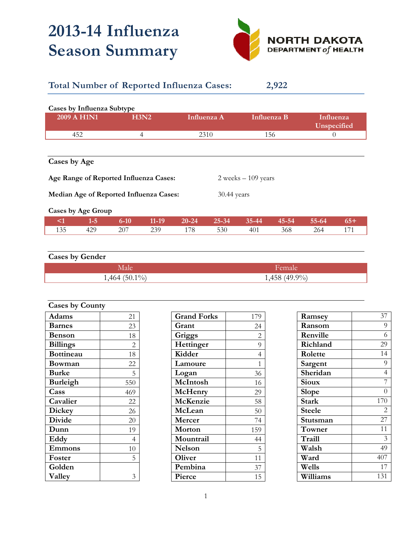## **2013-14 Influenza Season Summary**



## **Total Number of Reported Influenza Cases: 2,922**

| Cases by Influenza Subtype<br>2009 A H1N1<br>H3N2 |  | Influenza A | Influenza B           | Influenza<br>Unspecified |  |
|---------------------------------------------------|--|-------------|-----------------------|--------------------------|--|
| 452<br>4                                          |  | 2310        | 156                   |                          |  |
| Cases by Age                                      |  |             |                       |                          |  |
| Age Range of Reported Influenza Cases:            |  |             | $2 weeks - 109 years$ |                          |  |

**Median Age of Reported Influenza Cases:** 30.44 years

**Cases by Age Group** 

|     |     |     |     |     |     |         | $6-10$ 11-19 20-24 25-34 35-44 45-54 55-64 65+ |  |
|-----|-----|-----|-----|-----|-----|---------|------------------------------------------------|--|
| 135 | 429 | 207 | 239 | 178 | 530 | 401 368 | 264                                            |  |

| <b>Cases by Gender</b> |                 |  |  |
|------------------------|-----------------|--|--|
| <b>Male</b>            | Female          |  |  |
| $1,464$ (50.1%)        | $1,458(49.9\%)$ |  |  |

| <b>Cases by County</b> |                |  |
|------------------------|----------------|--|
| <b>Adams</b>           | 21             |  |
| <b>Barnes</b>          | 23             |  |
| <b>Benson</b>          | 18             |  |
| <b>Billings</b>        | $\overline{2}$ |  |
| <b>Bottineau</b>       | 18             |  |
| Bowman                 | 22             |  |
| <b>Burke</b>           | 5              |  |
| <b>Burleigh</b>        | 550            |  |
| Cass                   | 469            |  |
| Cavalier               | 22             |  |
| <b>Dickey</b>          | 26             |  |
| <b>Divide</b>          | 20             |  |
| Dunn                   | 19             |  |
| Eddy                   | 4              |  |
| Emmons                 | 10             |  |
| Foster                 | 5              |  |
| Golden                 |                |  |
| Valley                 | 3              |  |

| <b>Grand Forks</b> | 179            |
|--------------------|----------------|
| Grant              | 24             |
| Griggs             | $\overline{2}$ |
| Hettinger          | 9              |
| Kidder             | $\overline{4}$ |
| Lamoure            | $\mathbf{1}$   |
| Logan              | 36             |
| McIntosh           | 16             |
| McHenry            | 29             |
| McKenzie           | 58             |
| McLean             | 50             |
| Mercer             | 74             |
| Morton             | 159            |
| Mountrail          | 44             |
| Nelson             | 5              |
| Oliver             | 11             |
| Pembina            | 37             |
| Pierce             | 15             |

| Ramsey        | 37                       |
|---------------|--------------------------|
| Ransom        | 9                        |
| Renville      | 6                        |
| Richland      | 29                       |
| Rolette       | 14                       |
| Sargent       | 9                        |
| Sheridan      | $\overline{4}$           |
| <b>Sioux</b>  | 7                        |
| Slope         | $\Omega$                 |
| <b>Stark</b>  | 170                      |
| <b>Steele</b> | $\mathfrak{D}_{1}^{(1)}$ |
| Stutsman      | 27                       |
| Towner        | 11                       |
| Traill        | 3                        |
| Walsh         | 49                       |
| Ward          | 407                      |
| Wells         | 17                       |
| Williams      | 131                      |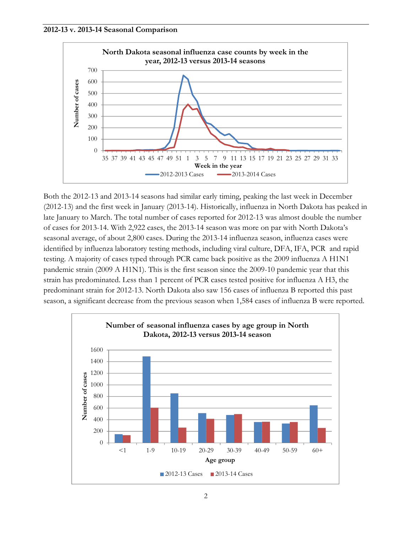



Both the 2012-13 and 2013-14 seasons had similar early timing, peaking the last week in December (2012-13) and the first week in January (2013-14). Historically, influenza in North Dakota has peaked in late January to March. The total number of cases reported for 2012-13 was almost double the number of cases for 2013-14. With 2,922 cases, the 2013-14 season was more on par with North Dakota's seasonal average, of about 2,800 cases. During the 2013-14 influenza season, influenza cases were identified by influenza laboratory testing methods, including viral culture, DFA, IFA, PCR and rapid testing. A majority of cases typed through PCR came back positive as the 2009 influenza A H1N1 pandemic strain (2009 A H1N1). This is the first season since the 2009-10 pandemic year that this strain has predominated. Less than 1 percent of PCR cases tested positive for influenza A H3, the predominant strain for 2012-13. North Dakota also saw 156 cases of influenza B reported this past season, a significant decrease from the previous season when 1,584 cases of influenza B were reported.

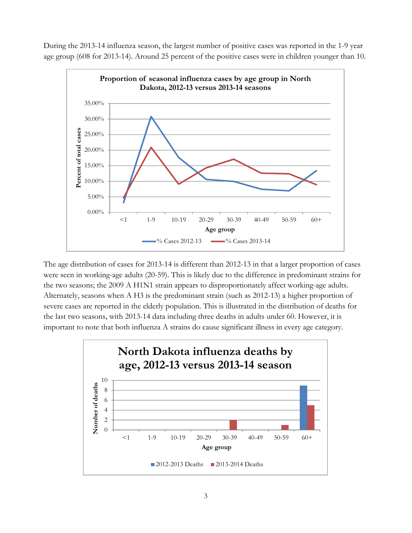During the 2013-14 influenza season, the largest number of positive cases was reported in the 1-9 year age group (608 for 2013-14). Around 25 percent of the positive cases were in children younger than 10.



The age distribution of cases for 2013-14 is different than 2012-13 in that a larger proportion of cases were seen in working-age adults (20-59). This is likely due to the difference in predominant strains for the two seasons; the 2009 A H1N1 strain appears to disproportionately affect working-age adults. Alternately, seasons when A H3 is the predominant strain (such as 2012-13) a higher proportion of severe cases are reported in the elderly population. This is illustrated in the distribution of deaths for the last two seasons, with 2013-14 data including three deaths in adults under 60. However, it is important to note that both influenza A strains do cause significant illness in every age category.

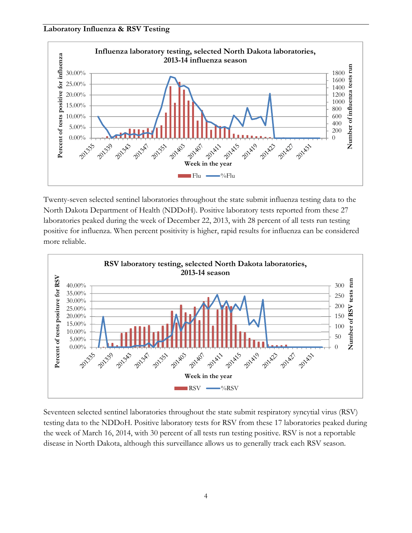## **Laboratory Influenza & RSV Testing**



Twenty-seven selected sentinel laboratories throughout the state submit influenza testing data to the North Dakota Department of Health (NDDoH). Positive laboratory tests reported from these 27 laboratories peaked during the week of December 22, 2013, with 28 percent of all tests run testing positive for influenza. When percent positivity is higher, rapid results for influenza can be considered more reliable.



Seventeen selected sentinel laboratories throughout the state submit respiratory syncytial virus (RSV) testing data to the NDDoH. Positive laboratory tests for RSV from these 17 laboratories peaked during the week of March 16, 2014, with 30 percent of all tests run testing positive. RSV is not a reportable disease in North Dakota, although this surveillance allows us to generally track each RSV season.